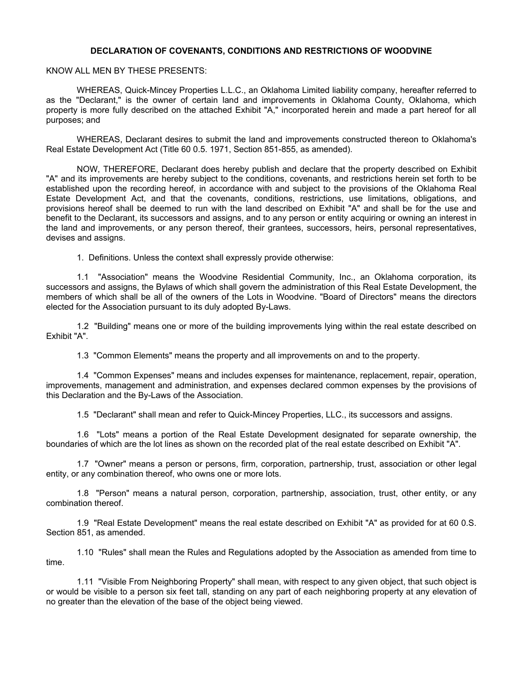#### **DECLARATION OF COVENANTS, CONDITIONS AND RESTRICTIONS OF WOODVINE**

KNOW ALL MEN BY THESE PRESENTS:

WHEREAS, Quick-Mincey Properties L.L.C., an Oklahoma Limited liability company, hereafter referred to as the "Declarant," is the owner of certain land and improvements in Oklahoma County, Oklahoma, which property is more fully described on the attached Exhibit "A," incorporated herein and made a part hereof for all purposes; and

WHEREAS, Declarant desires to submit the land and improvements constructed thereon to Oklahoma's Real Estate Development Act (Title 60 0.5. 1971, Section 851-855, as amended).

NOW, THEREFORE, Declarant does hereby publish and declare that the property described on Exhibit "A" and its improvements are hereby subject to the conditions, covenants, and restrictions herein set forth to be established upon the recording hereof, in accordance with and subject to the provisions of the Oklahoma Real Estate Development Act, and that the covenants, conditions, restrictions, use limitations, obligations, and provisions hereof shall be deemed to run with the land described on Exhibit "A" and shall be for the use and benefit to the Declarant, its successors and assigns, and to any person or entity acquiring or owning an interest in the land and improvements, or any person thereof, their grantees, successors, heirs, personal representatives, devises and assigns.

1. Definitions. Unless the context shall expressly provide otherwise:

1.1 "Association" means the Woodvine Residential Community, Inc., an Oklahoma corporation, its successors and assigns, the Bylaws of which shall govern the administration of this Real Estate Development, the members of which shall be all of the owners of the Lots in Woodvine. "Board of Directors" means the directors elected for the Association pursuant to its duly adopted By-Laws.

1.2 "Building" means one or more of the building improvements lying within the real estate described on Exhibit "A".

1.3 "Common Elements" means the property and all improvements on and to the property.

1.4 "Common Expenses" means and includes expenses for maintenance, replacement, repair, operation, improvements, management and administration, and expenses declared common expenses by the provisions of this Declaration and the By-Laws of the Association.

1.5 "Declarant" shall mean and refer to Quick-Mincey Properties, LLC., its successors and assigns.

1.6 "Lots" means a portion of the Real Estate Development designated for separate ownership, the boundaries of which are the lot lines as shown on the recorded plat of the real estate described on Exhibit "A".

1.7 "Owner" means a person or persons, firm, corporation, partnership, trust, association or other legal entity, or any combination thereof, who owns one or more lots.

1.8 "Person" means a natural person, corporation, partnership, association, trust, other entity, or any combination thereof.

1.9 "Real Estate Development" means the real estate described on Exhibit "A" as provided for at 60 0.S. Section 851, as amended.

1.10 "Rules" shall mean the Rules and Regulations adopted by the Association as amended from time to time.

1.11 "Visible From Neighboring Property" shall mean, with respect to any given object, that such object is or would be visible to a person six feet tall, standing on any part of each neighboring property at any elevation of no greater than the elevation of the base of the object being viewed.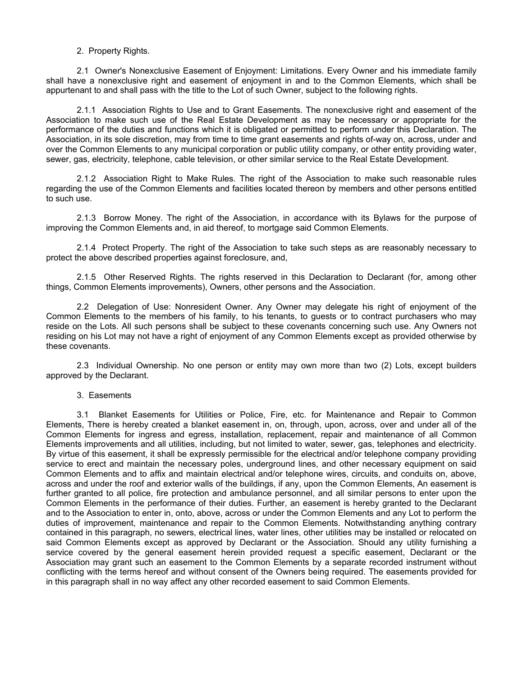# 2. Property Rights.

2.1 Owner's Nonexclusive Easement of Enjoyment: Limitations. Every Owner and his immediate family shall have a nonexclusive right and easement of enjoyment in and to the Common Elements, which shall be appurtenant to and shall pass with the title to the Lot of such Owner, subject to the following rights.

2.1.1 Association Rights to Use and to Grant Easements. The nonexclusive right and easement of the Association to make such use of the Real Estate Development as may be necessary or appropriate for the performance of the duties and functions which it is obligated or permitted to perform under this Declaration. The Association, in its sole discretion, may from time to time grant easements and rights of-way on, across, under and over the Common Elements to any municipal corporation or public utility company, or other entity providing water, sewer, gas, electricity, telephone, cable television, or other similar service to the Real Estate Development.

2.1.2 Association Right to Make Rules. The right of the Association to make such reasonable rules regarding the use of the Common Elements and facilities located thereon by members and other persons entitled to such use.

2.1.3 Borrow Money. The right of the Association, in accordance with its Bylaws for the purpose of improving the Common Elements and, in aid thereof, to mortgage said Common Elements.

2.1.4 Protect Property. The right of the Association to take such steps as are reasonably necessary to protect the above described properties against foreclosure, and,

2.1.5 Other Reserved Rights. The rights reserved in this Declaration to Declarant (for, among other things, Common Elements improvements), Owners, other persons and the Association.

2.2 Delegation of Use: Nonresident Owner. Any Owner may delegate his right of enjoyment of the Common Elements to the members of his family, to his tenants, to guests or to contract purchasers who may reside on the Lots. All such persons shall be subject to these covenants concerning such use. Any Owners not residing on his Lot may not have a right of enjoyment of any Common Elements except as provided otherwise by these covenants.

2.3 Individual Ownership. No one person or entity may own more than two (2) Lots, except builders approved by the Declarant.

#### 3. Easements

3.1 Blanket Easements for Utilities or Police, Fire, etc. for Maintenance and Repair to Common Elements, There is hereby created a blanket easement in, on, through, upon, across, over and under all of the Common Elements for ingress and egress, installation, replacement, repair and maintenance of all Common Elements improvements and all utilities, including, but not limited to water, sewer, gas, telephones and electricity. By virtue of this easement, it shall be expressly permissible for the electrical and/or telephone company providing service to erect and maintain the necessary poles, underground lines, and other necessary equipment on said Common Elements and to affix and maintain electrical and/or telephone wires, circuits, and conduits on, above, across and under the roof and exterior walls of the buildings, if any, upon the Common Elements, An easement is further granted to all police, fire protection and ambulance personnel, and all similar persons to enter upon the Common Elements in the performance of their duties. Further, an easement is hereby granted to the Declarant and to the Association to enter in, onto, above, across or under the Common Elements and any Lot to perform the duties of improvement, maintenance and repair to the Common Elements. Notwithstanding anything contrary contained in this paragraph, no sewers, electrical lines, water lines, other utilities may be installed or relocated on said Common Elements except as approved by Declarant or the Association. Should any utility furnishing a service covered by the general easement herein provided request a specific easement, Declarant or the Association may grant such an easement to the Common Elements by a separate recorded instrument without conflicting with the terms hereof and without consent of the Owners being required. The easements provided for in this paragraph shall in no way affect any other recorded easement to said Common Elements.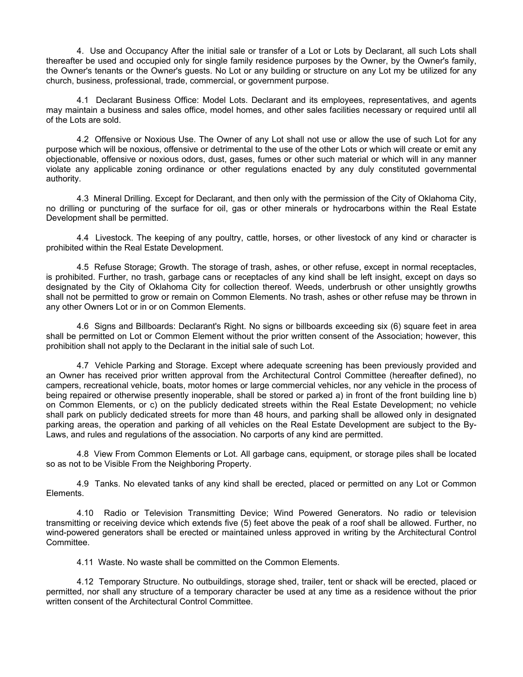4. Use and Occupancy After the initial sale or transfer of a Lot or Lots by Declarant, all such Lots shall thereafter be used and occupied only for single family residence purposes by the Owner, by the Owner's family, the Owner's tenants or the Owner's guests. No Lot or any building or structure on any Lot my be utilized for any church, business, professional, trade, commercial, or government purpose.

4.1 Declarant Business Office: Model Lots. Declarant and its employees, representatives, and agents may maintain a business and sales office, model homes, and other sales facilities necessary or required until all of the Lots are sold.

4.2 Offensive or Noxious Use. The Owner of any Lot shall not use or allow the use of such Lot for any purpose which will be noxious, offensive or detrimental to the use of the other Lots or which will create or emit any objectionable, offensive or noxious odors, dust, gases, fumes or other such material or which will in any manner violate any applicable zoning ordinance or other regulations enacted by any duly constituted governmental authority.

4.3 Mineral Drilling. Except for Declarant, and then only with the permission of the City of Oklahoma City, no drilling or puncturing of the surface for oil, gas or other minerals or hydrocarbons within the Real Estate Development shall be permitted.

4.4 Livestock. The keeping of any poultry, cattle, horses, or other livestock of any kind or character is prohibited within the Real Estate Development.

4.5 Refuse Storage; Growth. The storage of trash, ashes, or other refuse, except in normal receptacles, is prohibited. Further, no trash, garbage cans or receptacles of any kind shall be left insight, except on days so designated by the City of Oklahoma City for collection thereof. Weeds, underbrush or other unsightly growths shall not be permitted to grow or remain on Common Elements. No trash, ashes or other refuse may be thrown in any other Owners Lot or in or on Common Elements.

4.6 Signs and Billboards: Declarant's Right. No signs or billboards exceeding six (6) square feet in area shall be permitted on Lot or Common Element without the prior written consent of the Association; however, this prohibition shall not apply to the Declarant in the initial sale of such Lot.

4.7 Vehicle Parking and Storage. Except where adequate screening has been previously provided and an Owner has received prior written approval from the Architectural Control Committee (hereafter defined), no campers, recreational vehicle, boats, motor homes or large commercial vehicles, nor any vehicle in the process of being repaired or otherwise presently inoperable, shall be stored or parked a) in front of the front building line b) on Common Elements, or c) on the publicly dedicated streets within the Real Estate Development; no vehicle shall park on publicly dedicated streets for more than 48 hours, and parking shall be allowed only in designated parking areas, the operation and parking of all vehicles on the Real Estate Development are subject to the By-Laws, and rules and regulations of the association. No carports of any kind are permitted.

4.8 View From Common Elements or Lot. All garbage cans, equipment, or storage piles shall be located so as not to be Visible From the Neighboring Property.

4.9 Tanks. No elevated tanks of any kind shall be erected, placed or permitted on any Lot or Common Elements.

4.10 Radio or Television Transmitting Device; Wind Powered Generators. No radio or television transmitting or receiving device which extends five (5) feet above the peak of a roof shall be allowed. Further, no wind-powered generators shall be erected or maintained unless approved in writing by the Architectural Control Committee.

4.11 Waste. No waste shall be committed on the Common Elements.

4.12 Temporary Structure. No outbuildings, storage shed, trailer, tent or shack will be erected, placed or permitted, nor shall any structure of a temporary character be used at any time as a residence without the prior written consent of the Architectural Control Committee.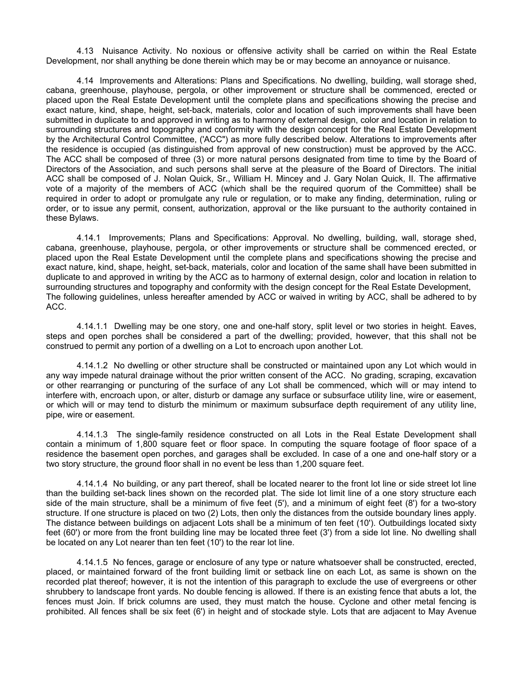4.13 Nuisance Activity. No noxious or offensive activity shall be carried on within the Real Estate Development, nor shall anything be done therein which may be or may become an annoyance or nuisance.

4.14 Improvements and Alterations: Plans and Specifications. No dwelling, building, wall storage shed, cabana, greenhouse, playhouse, pergola, or other improvement or structure shall be commenced, erected or placed upon the Real Estate Development until the complete plans and specifications showing the precise and exact nature, kind, shape, height, set-back, materials, color and location of such improvements shall have been submitted in duplicate to and approved in writing as to harmony of external design, color and location in relation to surrounding structures and topography and conformity with the design concept for the Real Estate Development by the Architectural Control Committee, ('ACC") as more fully described below. Alterations to improvements after the residence is occupied (as distinguished from approval of new construction) must be approved by the ACC. The ACC shall be composed of three (3) or more natural persons designated from time to time by the Board of Directors of the Association, and such persons shall serve at the pleasure of the Board of Directors. The initial ACC shall be composed of J. Nolan Quick, Sr., William H. Mincey and J. Gary Nolan Quick, II. The affirmative vote of a majority of the members of ACC (which shall be the required quorum of the Committee) shall be required in order to adopt or promulgate any rule or regulation, or to make any finding, determination, ruling or order, or to issue any permit, consent, authorization, approval or the like pursuant to the authority contained in these Bylaws.

4.14.1 Improvements; Plans and Specifications: Approval. No dwelling, building, wall, storage shed, cabana, greenhouse, playhouse, pergola, or other improvements or structure shall be commenced erected, or placed upon the Real Estate Development until the complete plans and specifications showing the precise and exact nature, kind, shape, height, set-back, materials, color and location of the same shall have been submitted in duplicate to and approved in writing by the ACC as to harmony of external design, color and location in relation to surrounding structures and topography and conformity with the design concept for the Real Estate Development, The following guidelines, unless hereafter amended by ACC or waived in writing by ACC, shall be adhered to by ACC.

4.14.1.1 Dwelling may be one story, one and one-half story, split level or two stories in height. Eaves, steps and open porches shall be considered a part of the dwelling; provided, however, that this shall not be construed to permit any portion of a dwelling on a Lot to encroach upon another Lot.

4.14.1.2 No dwelling or other structure shall be constructed or maintained upon any Lot which would in any way impede natural drainage without the prior written consent of the ACC. No grading, scraping, excavation or other rearranging or puncturing of the surface of any Lot shall be commenced, which will or may intend to interfere with, encroach upon, or alter, disturb or damage any surface or subsurface utility line, wire or easement, or which will or may tend to disturb the minimum or maximum subsurface depth requirement of any utility line, pipe, wire or easement.

4.14.1.3 The single-family residence constructed on all Lots in the Real Estate Development shall contain a minimum of 1,800 square feet or floor space. In computing the square footage of floor space of a residence the basement open porches, and garages shall be excluded. In case of a one and one-half story or a two story structure, the ground floor shall in no event be less than 1,200 square feet.

4.14.1.4 No building, or any part thereof, shall be located nearer to the front lot line or side street lot line than the building set-back lines shown on the recorded plat. The side lot limit line of a one story structure each side of the main structure, shall be a minimum of five feet (5'), and a minimum of eight feet (8') for a two-story structure. If one structure is placed on two (2) Lots, then only the distances from the outside boundary lines apply. The distance between buildings on adjacent Lots shall be a minimum of ten feet (10'). Outbuildings located sixty feet (60') or more from the front building line may be located three feet (3') from a side lot line. No dwelling shall be located on any Lot nearer than ten feet (10') to the rear lot line.

4.14.1.5 No fences, garage or enclosure of any type or nature whatsoever shall be constructed, erected, placed, or maintained forward of the front building limit or setback line on each Lot, as same is shown on the recorded plat thereof; however, it is not the intention of this paragraph to exclude the use of evergreens or other shrubbery to landscape front yards. No double fencing is allowed. If there is an existing fence that abuts a lot, the fences must Join. If brick columns are used, they must match the house. Cyclone and other metal fencing is prohibited. All fences shall be six feet (6') in height and of stockade style. Lots that are adjacent to May Avenue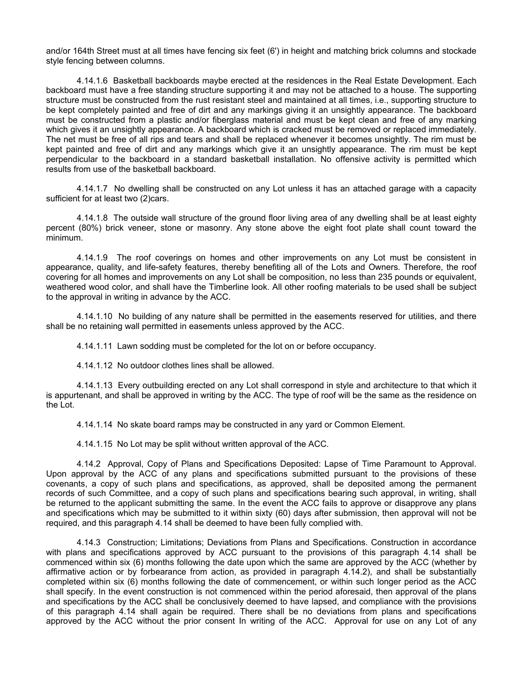and/or 164th Street must at all times have fencing six feet (6') in height and matching brick columns and stockade style fencing between columns.

4.14.1.6 Basketball backboards maybe erected at the residences in the Real Estate Development. Each backboard must have a free standing structure supporting it and may not be attached to a house. The supporting structure must be constructed from the rust resistant steel and maintained at all times, i.e., supporting structure to be kept completely painted and free of dirt and any markings giving it an unsightly appearance. The backboard must be constructed from a plastic and/or fiberglass material and must be kept clean and free of any marking which gives it an unsightly appearance. A backboard which is cracked must be removed or replaced immediately. The net must be free of all rips and tears and shall be replaced whenever it becomes unsightly. The rim must be kept painted and free of dirt and any markings which give it an unsightly appearance. The rim must be kept perpendicular to the backboard in a standard basketball installation. No offensive activity is permitted which results from use of the basketball backboard.

4.14.1.7 No dwelling shall be constructed on any Lot unless it has an attached garage with a capacity sufficient for at least two (2)cars.

4.14.1.8 The outside wall structure of the ground floor living area of any dwelling shall be at least eighty percent (80%) brick veneer, stone or masonry. Any stone above the eight foot plate shall count toward the minimum.

4.14.1.9 The roof coverings on homes and other improvements on any Lot must be consistent in appearance, quality, and life-safety features, thereby benefiting all of the Lots and Owners. Therefore, the roof covering for all homes and improvements on any Lot shall be composition, no less than 235 pounds or equivalent, weathered wood color, and shall have the Timberline look. All other roofing materials to be used shall be subject to the approval in writing in advance by the ACC.

4.14.1.10 No building of any nature shall be permitted in the easements reserved for utilities, and there shall be no retaining wall permitted in easements unless approved by the ACC.

4.14.1.11 Lawn sodding must be completed for the lot on or before occupancy.

4.14.1.12 No outdoor clothes lines shall be allowed.

4.14.1.13 Every outbuilding erected on any Lot shall correspond in style and architecture to that which it is appurtenant, and shall be approved in writing by the ACC. The type of roof will be the same as the residence on the Lot.

4.14.1.14 No skate board ramps may be constructed in any yard or Common Element.

4.14.1.15 No Lot may be split without written approval of the ACC.

4.14.2 Approval, Copy of Plans and Specifications Deposited: Lapse of Time Paramount to Approval. Upon approval by the ACC of any plans and specifications submitted pursuant to the provisions of these covenants, a copy of such plans and specifications, as approved, shall be deposited among the permanent records of such Committee, and a copy of such plans and specifications bearing such approval, in writing, shall be returned to the applicant submitting the same. In the event the ACC fails to approve or disapprove any plans and specifications which may be submitted to it within sixty (60) days after submission, then approval will not be required, and this paragraph 4.14 shall be deemed to have been fully complied with.

4.14.3 Construction; Limitations; Deviations from Plans and Specifications. Construction in accordance with plans and specifications approved by ACC pursuant to the provisions of this paragraph 4.14 shall be commenced within six (6) months following the date upon which the same are approved by the ACC (whether by affirmative action or by forbearance from action, as provided in paragraph 4.14.2), and shall be substantially completed within six (6) months following the date of commencement, or within such longer period as the ACC shall specify. In the event construction is not commenced within the period aforesaid, then approval of the plans and specifications by the ACC shall be conclusively deemed to have lapsed, and compliance with the provisions of this paragraph 4.14 shall again be required. There shall be no deviations from plans and specifications approved by the ACC without the prior consent In writing of the ACC. Approval for use on any Lot of any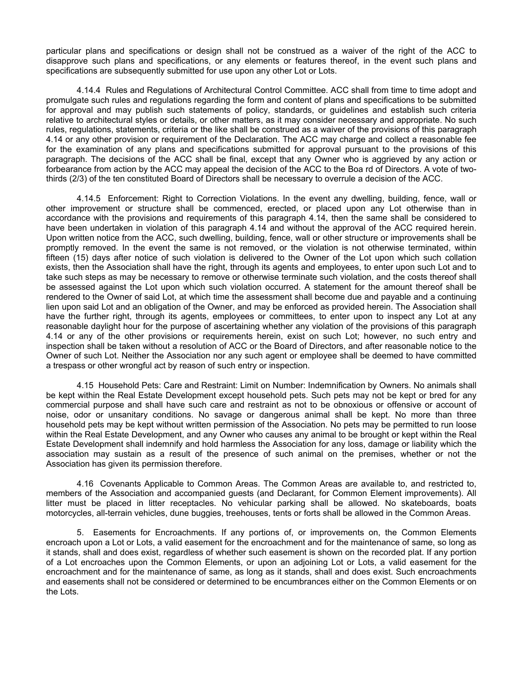particular plans and specifications or design shall not be construed as a waiver of the right of the ACC to disapprove such plans and specifications, or any elements or features thereof, in the event such plans and specifications are subsequently submitted for use upon any other Lot or Lots.

4.14.4 Rules and Regulations of Architectural Control Committee. ACC shall from time to time adopt and promulgate such rules and regulations regarding the form and content of plans and specifications to be submitted for approval and may publish such statements of policy, standards, or guidelines and establish such criteria relative to architectural styles or details, or other matters, as it may consider necessary and appropriate. No such rules, regulations, statements, criteria or the like shall be construed as a waiver of the provisions of this paragraph 4.14 or any other provision or requirement of the Declaration. The ACC may charge and collect a reasonable fee for the examination of any plans and specifications submitted for approval pursuant to the provisions of this paragraph. The decisions of the ACC shall be final, except that any Owner who is aggrieved by any action or forbearance from action by the ACC may appeal the decision of the ACC to the Boa rd of Directors. A vote of twothirds (2/3) of the ten constituted Board of Directors shall be necessary to overrule a decision of the ACC.

4.14.5 Enforcement: Right to Correction Violations. In the event any dwelling, building, fence, wall or other improvement or structure shall be commenced, erected, or placed upon any Lot otherwise than in accordance with the provisions and requirements of this paragraph 4.14, then the same shall be considered to have been undertaken in violation of this paragraph 4.14 and without the approval of the ACC required herein. Upon written notice from the ACC, such dwelling, building, fence, wall or other structure or improvements shall be promptly removed. In the event the same is not removed, or the violation is not otherwise terminated, within fifteen (15) days after notice of such violation is delivered to the Owner of the Lot upon which such collation exists, then the Association shall have the right, through its agents and employees, to enter upon such Lot and to take such steps as may be necessary to remove or otherwise terminate such violation, and the costs thereof shall be assessed against the Lot upon which such violation occurred. A statement for the amount thereof shall be rendered to the Owner of said Lot, at which time the assessment shall become due and payable and a continuing lien upon said Lot and an obligation of the Owner, and may be enforced as provided herein. The Association shall have the further right, through its agents, employees or committees, to enter upon to inspect any Lot at any reasonable daylight hour for the purpose of ascertaining whether any violation of the provisions of this paragraph 4.14 or any of the other provisions or requirements herein, exist on such Lot; however, no such entry and inspection shall be taken without a resolution of ACC or the Board of Directors, and after reasonable notice to the Owner of such Lot. Neither the Association nor any such agent or employee shall be deemed to have committed a trespass or other wrongful act by reason of such entry or inspection.

4.15 Household Pets: Care and Restraint: Limit on Number: Indemnification by Owners. No animals shall be kept within the Real Estate Development except household pets. Such pets may not be kept or bred for any commercial purpose and shall have such care and restraint as not to be obnoxious or offensive or account of noise, odor or unsanitary conditions. No savage or dangerous animal shall be kept. No more than three household pets may be kept without written permission of the Association. No pets may be permitted to run loose within the Real Estate Development, and any Owner who causes any animal to be brought or kept within the Real Estate Development shall indemnify and hold harmless the Association for any loss, damage or liability which the association may sustain as a result of the presence of such animal on the premises, whether or not the Association has given its permission therefore.

4.16 Covenants Applicable to Common Areas. The Common Areas are available to, and restricted to, members of the Association and accompanied guests (and Declarant, for Common Element improvements). All litter must be placed in litter receptacles. No vehicular parking shall be allowed. No skateboards, boats motorcycles, all-terrain vehicles, dune buggies, treehouses, tents or forts shall be allowed in the Common Areas.

5. Easements for Encroachments. If any portions of, or improvements on, the Common Elements encroach upon a Lot or Lots, a valid easement for the encroachment and for the maintenance of same, so long as it stands, shall and does exist, regardless of whether such easement is shown on the recorded plat. If any portion of a Lot encroaches upon the Common Elements, or upon an adjoining Lot or Lots, a valid easement for the encroachment and for the maintenance of same, as long as it stands, shall and does exist. Such encroachments and easements shall not be considered or determined to be encumbrances either on the Common Elements or on the Lots.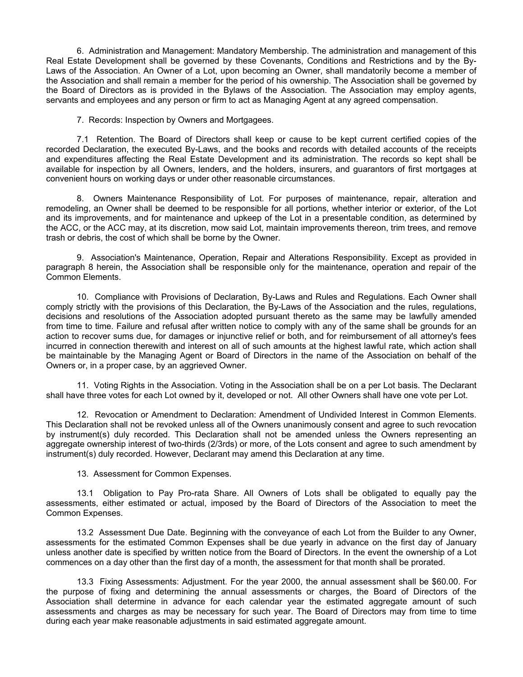6. Administration and Management: Mandatory Membership. The administration and management of this Real Estate Development shall be governed by these Covenants, Conditions and Restrictions and by the By-Laws of the Association. An Owner of a Lot, upon becoming an Owner, shall mandatorily become a member of the Association and shall remain a member for the period of his ownership. The Association shall be governed by the Board of Directors as is provided in the Bylaws of the Association. The Association may employ agents, servants and employees and any person or firm to act as Managing Agent at any agreed compensation.

7. Records: Inspection by Owners and Mortgagees.

7.1 Retention. The Board of Directors shall keep or cause to be kept current certified copies of the recorded Declaration, the executed By-Laws, and the books and records with detailed accounts of the receipts and expenditures affecting the Real Estate Development and its administration. The records so kept shall be available for inspection by all Owners, lenders, and the holders, insurers, and guarantors of first mortgages at convenient hours on working days or under other reasonable circumstances.

8. Owners Maintenance Responsibility of Lot. For purposes of maintenance, repair, alteration and remodeling, an Owner shall be deemed to be responsible for all portions, whether interior or exterior, of the Lot and its improvements, and for maintenance and upkeep of the Lot in a presentable condition, as determined by the ACC, or the ACC may, at its discretion, mow said Lot, maintain improvements thereon, trim trees, and remove trash or debris, the cost of which shall be borne by the Owner.

9. Association's Maintenance, Operation, Repair and Alterations Responsibility. Except as provided in paragraph 8 herein, the Association shall be responsible only for the maintenance, operation and repair of the Common Elements.

10. Compliance with Provisions of Declaration, By-Laws and Rules and Regulations. Each Owner shall comply strictly with the provisions of this Declaration, the By-Laws of the Association and the rules, regulations, decisions and resolutions of the Association adopted pursuant thereto as the same may be lawfully amended from time to time. Failure and refusal after written notice to comply with any of the same shall be grounds for an action to recover sums due, for damages or injunctive relief or both, and for reimbursement of all attorney's fees incurred in connection therewith and interest on all of such amounts at the highest lawful rate, which action shall be maintainable by the Managing Agent or Board of Directors in the name of the Association on behalf of the Owners or, in a proper case, by an aggrieved Owner.

11. Voting Rights in the Association. Voting in the Association shall be on a per Lot basis. The Declarant shall have three votes for each Lot owned by it, developed or not. All other Owners shall have one vote per Lot.

12. Revocation or Amendment to Declaration: Amendment of Undivided Interest in Common Elements. This Declaration shall not be revoked unless all of the Owners unanimously consent and agree to such revocation by instrument(s) duly recorded. This Declaration shall not be amended unless the Owners representing an aggregate ownership interest of two-thirds (2/3rds) or more, of the Lots consent and agree to such amendment by instrument(s) duly recorded. However, Declarant may amend this Declaration at any time.

13. Assessment for Common Expenses.

13.1 Obligation to Pay Pro-rata Share. All Owners of Lots shall be obligated to equally pay the assessments, either estimated or actual, imposed by the Board of Directors of the Association to meet the Common Expenses.

13.2 Assessment Due Date. Beginning with the conveyance of each Lot from the Builder to any Owner, assessments for the estimated Common Expenses shall be due yearly in advance on the first day of January unless another date is specified by written notice from the Board of Directors. In the event the ownership of a Lot commences on a day other than the first day of a month, the assessment for that month shall be prorated.

13.3 Fixing Assessments: Adjustment. For the year 2000, the annual assessment shall be \$60.00. For the purpose of fixing and determining the annual assessments or charges, the Board of Directors of the Association shall determine in advance for each calendar year the estimated aggregate amount of such assessments and charges as may be necessary for such year. The Board of Directors may from time to time during each year make reasonable adjustments in said estimated aggregate amount.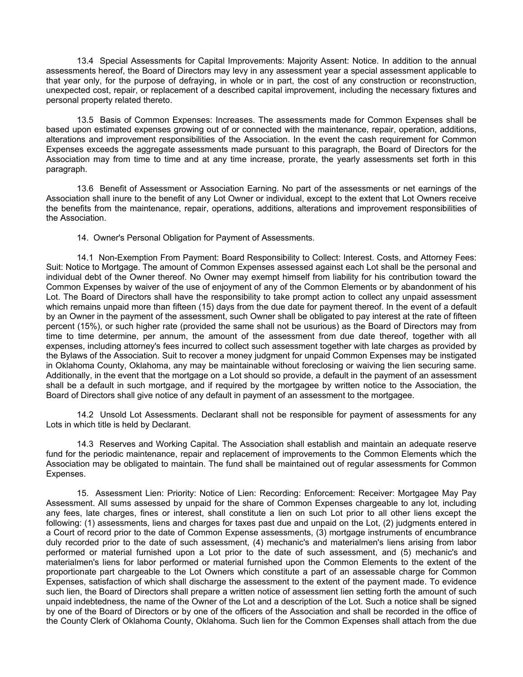13.4 Special Assessments for Capital Improvements: Majority Assent: Notice. In addition to the annual assessments hereof, the Board of Directors may levy in any assessment year a special assessment applicable to that year only, for the purpose of defraying, in whole or in part, the cost of any construction or reconstruction, unexpected cost, repair, or replacement of a described capital improvement, including the necessary fixtures and personal property related thereto.

13.5 Basis of Common Expenses: Increases. The assessments made for Common Expenses shall be based upon estimated expenses growing out of or connected with the maintenance, repair, operation, additions, alterations and improvement responsibilities of the Association. In the event the cash requirement for Common Expenses exceeds the aggregate assessments made pursuant to this paragraph, the Board of Directors for the Association may from time to time and at any time increase, prorate, the yearly assessments set forth in this paragraph.

13.6 Benefit of Assessment or Association Earning. No part of the assessments or net earnings of the Association shall inure to the benefit of any Lot Owner or individual, except to the extent that Lot Owners receive the benefits from the maintenance, repair, operations, additions, alterations and improvement responsibilities of the Association.

14. Owner's Personal Obligation for Payment of Assessments.

14.1 Non-Exemption From Payment: Board Responsibility to Collect: Interest. Costs, and Attorney Fees: Suit: Notice to Mortgage. The amount of Common Expenses assessed against each Lot shall be the personal and individual debt of the Owner thereof. No Owner may exempt himself from liability for his contribution toward the Common Expenses by waiver of the use of enjoyment of any of the Common Elements or by abandonment of his Lot. The Board of Directors shall have the responsibility to take prompt action to collect any unpaid assessment which remains unpaid more than fifteen (15) days from the due date for payment thereof. In the event of a default by an Owner in the payment of the assessment, such Owner shall be obligated to pay interest at the rate of fifteen percent (15%), or such higher rate (provided the same shall not be usurious) as the Board of Directors may from time to time determine, per annum, the amount of the assessment from due date thereof, together with all expenses, including attorney's fees incurred to collect such assessment together with late charges as provided by the Bylaws of the Association. Suit to recover a money judgment for unpaid Common Expenses may be instigated in Oklahoma County, Oklahoma, any may be maintainable without foreclosing or waiving the lien securing same. Additionally, in the event that the mortgage on a Lot should so provide, a default in the payment of an assessment shall be a default in such mortgage, and if required by the mortgagee by written notice to the Association, the Board of Directors shall give notice of any default in payment of an assessment to the mortgagee.

14.2 Unsold Lot Assessments. Declarant shall not be responsible for payment of assessments for any Lots in which title is held by Declarant.

14.3 Reserves and Working Capital. The Association shall establish and maintain an adequate reserve fund for the periodic maintenance, repair and replacement of improvements to the Common Elements which the Association may be obligated to maintain. The fund shall be maintained out of regular assessments for Common Expenses.

15. Assessment Lien: Priority: Notice of Lien: Recording: Enforcement: Receiver: Mortgagee May Pay Assessment. All sums assessed by unpaid for the share of Common Expenses chargeable to any lot, including any fees, late charges, fines or interest, shall constitute a lien on such Lot prior to all other liens except the following: (1) assessments, liens and charges for taxes past due and unpaid on the Lot, (2) judgments entered in a Court of record prior to the date of Common Expense assessments, (3) mortgage instruments of encumbrance duly recorded prior to the date of such assessment, (4) mechanic's and materialmen's liens arising from labor performed or material furnished upon a Lot prior to the date of such assessment, and (5) mechanic's and materialmen's liens for labor performed or material furnished upon the Common Elements to the extent of the proportionate part chargeable to the Lot Owners which constitute a part of an assessable charge for Common Expenses, satisfaction of which shall discharge the assessment to the extent of the payment made. To evidence such lien, the Board of Directors shall prepare a written notice of assessment lien setting forth the amount of such unpaid indebtedness, the name of the Owner of the Lot and a description of the Lot. Such a notice shall be signed by one of the Board of Directors or by one of the officers of the Association and shall be recorded in the office of the County Clerk of Oklahoma County, Oklahoma. Such lien for the Common Expenses shall attach from the due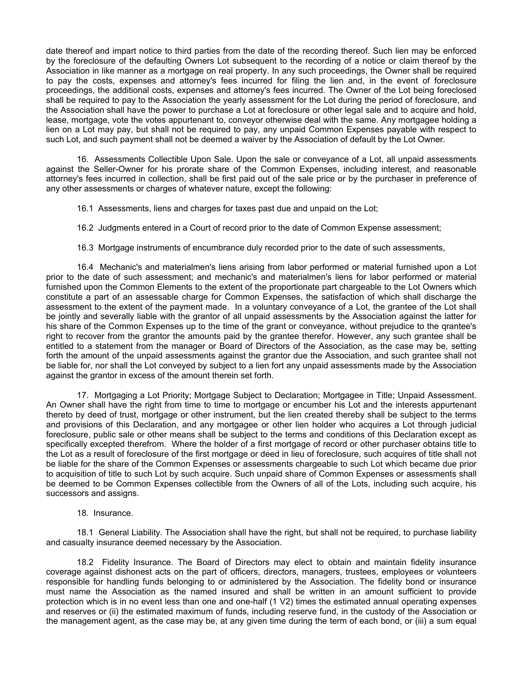date thereof and impart notice to third parties from the date of the recording thereof. Such lien may be enforced by the foreclosure of the defaulting Owners Lot subsequent to the recording of a notice or claim thereof by the Association in like manner as a mortgage on real property. In any such proceedings, the Owner shall be required to pay the costs, expenses and attorney's fees incurred for filing the lien and, in the event of foreclosure proceedings, the additional costs, expenses and attorney's fees incurred. The Owner of the Lot being foreclosed shall be required to pay to the Association the yearly assessment for the Lot during the period of foreclosure, and the Association shall have the power to purchase a Lot at foreclosure or other legal sale and to acquire and hold, lease, mortgage, vote the votes appurtenant to, conveyor otherwise deal with the same. Any mortgagee holding a lien on a Lot may pay, but shall not be required to pay, any unpaid Common Expenses payable with respect to such Lot, and such payment shall not be deemed a waiver by the Association of default by the Lot Owner.

16. Assessments Collectible Upon Sale. Upon the sale or conveyance of a Lot, all unpaid assessments against the Seller-Owner for his prorate share of the Common Expenses, including interest, and reasonable attorney's fees incurred in collection, shall be first paid out of the sale price or by the purchaser in preference of any other assessments or charges of whatever nature, except the following:

16.1 Assessments, liens and charges for taxes past due and unpaid on the Lot;

16.2 Judgments entered in a Court of record prior to the date of Common Expense assessment;

16.3 Mortgage instruments of encumbrance duly recorded prior to the date of such assessments,

16.4 Mechanic's and materialmen's liens arising from labor performed or material furnished upon a Lot prior to the date of such assessment; and mechanic's and materialmen's liens for labor performed or material furnished upon the Common Elements to the extent of the proportionate part chargeable to the Lot Owners which constitute a part of an assessable charge for Common Expenses, the satisfaction of which shall discharge the assessment to the extent of the payment made. In a voluntary conveyance of a Lot, the grantee of the Lot shall be jointly and severally liable with the grantor of all unpaid assessments by the Association against the latter for his share of the Common Expenses up to the time of the grant or conveyance, without prejudice to the qrantee's right to recover from the grantor the amounts paid by the grantee therefor. However, any such grantee shall be entitled to a statement from the manager or Board of Directors of the Association, as the case may be, setting forth the amount of the unpaid assessments against the grantor due the Association, and such grantee shall not be liable for, nor shall the Lot conveyed by subject to a lien fort any unpaid assessments made by the Association against the grantor in excess of the amount therein set forth.

17. Mortgaging a Lot Priority; Mortgage Subject to Declaration; Mortgagee in Title; Unpaid Assessment. An Owner shall have the right from time to time to mortgage or encumber his Lot and the interests appurtenant thereto by deed of trust, mortgage or other instrument, but the lien created thereby shall be subject to the terms and provisions of this Declaration, and any mortgagee or other lien holder who acquires a Lot through judicial foreclosure, public sale or other means shall be subject to the terms and conditions of this Declaration except as specifically excepted therefrom. Where the holder of a first mortgage of record or other purchaser obtains title to the Lot as a result of foreclosure of the first mortgage or deed in lieu of foreclosure, such acquires of title shall not be liable for the share of the Common Expenses or assessments chargeable to such Lot which became due prior to acquisition of title to such Lot by such acquire. Such unpaid share of Common Expenses or assessments shall be deemed to be Common Expenses collectible from the Owners of all of the Lots, including such acquire, his successors and assigns.

18. Insurance.

18.1 General Liability. The Association shall have the right, but shall not be required, to purchase liability and casualty insurance deemed necessary by the Association.

18.2 Fidelity Insurance. The Board of Directors may elect to obtain and maintain fidelity insurance coverage against dishonest acts on the part of officers, directors, managers, trustees, employees or volunteers responsible for handling funds belonging to or administered by the Association. The fidelity bond or insurance must name the Association as the named insured and shall be written in an amount sufficient to provide protection which is in no event less than one and one-half (1 V2) times the estimated annual operating expenses and reserves or (ii) the estimated maximum of funds, including reserve fund, in the custody of the Association or the management agent, as the case may be, at any given time during the term of each bond, or (iii) a sum equal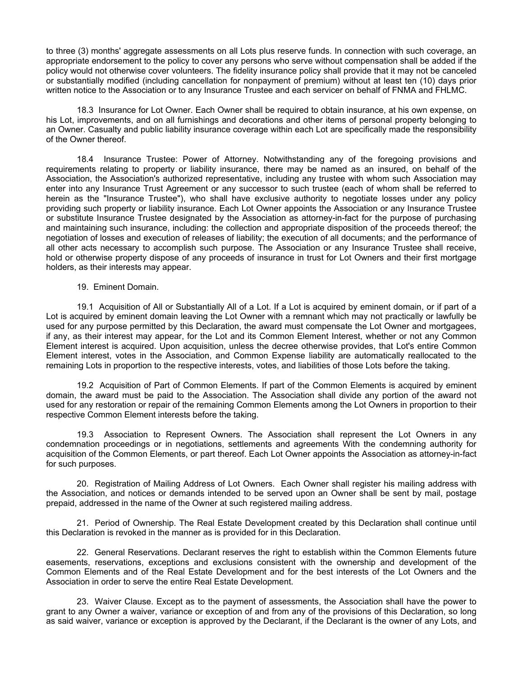to three (3) months' aggregate assessments on all Lots plus reserve funds. In connection with such coverage, an appropriate endorsement to the policy to cover any persons who serve without compensation shall be added if the policy would not otherwise cover volunteers. The fidelity insurance policy shall provide that it may not be canceled or substantially modified (including cancellation for nonpayment of premium) without at least ten (10) days prior written notice to the Association or to any Insurance Trustee and each servicer on behalf of FNMA and FHLMC.

18.3 Insurance for Lot Owner. Each Owner shall be required to obtain insurance, at his own expense, on his Lot, improvements, and on all furnishings and decorations and other items of personal property belonging to an Owner. Casualty and public liability insurance coverage within each Lot are specifically made the responsibility of the Owner thereof.

18.4 Insurance Trustee: Power of Attorney. Notwithstanding any of the foregoing provisions and requirements relating to property or liability insurance, there may be named as an insured, on behalf of the Association, the Association's authorized representative, including any trustee with whom such Association may enter into any Insurance Trust Agreement or any successor to such trustee (each of whom shall be referred to herein as the "Insurance Trustee"), who shall have exclusive authority to negotiate losses under any policy providing such property or liability insurance. Each Lot Owner appoints the Association or any Insurance Trustee or substitute Insurance Trustee designated by the Association as attorney-in-fact for the purpose of purchasing and maintaining such insurance, including: the collection and appropriate disposition of the proceeds thereof; the negotiation of losses and execution of releases of liability; the execution of all documents; and the performance of all other acts necessary to accomplish such purpose. The Association or any Insurance Trustee shall receive, hold or otherwise property dispose of any proceeds of insurance in trust for Lot Owners and their first mortgage holders, as their interests may appear.

19. Eminent Domain.

19.1 Acquisition of All or Substantially All of a Lot. If a Lot is acquired by eminent domain, or if part of a Lot is acquired by eminent domain leaving the Lot Owner with a remnant which may not practically or lawfully be used for any purpose permitted by this Declaration, the award must compensate the Lot Owner and mortgagees, if any, as their interest may appear, for the Lot and its Common Element Interest, whether or not any Common Element interest is acquired. Upon acquisition, unless the decree otherwise provides, that Lot's entire Common Element interest, votes in the Association, and Common Expense liability are automatically reallocated to the remaining Lots in proportion to the respective interests, votes, and liabilities of those Lots before the taking.

19.2 Acquisition of Part of Common Elements. If part of the Common Elements is acquired by eminent domain, the award must be paid to the Association. The Association shall divide any portion of the award not used for any restoration or repair of the remaining Common Elements among the Lot Owners in proportion to their respective Common Element interests before the taking.

19.3 Association to Represent Owners. The Association shall represent the Lot Owners in any condemnation proceedings or in negotiations, settlements and agreements With the condemning authority for acquisition of the Common Elements, or part thereof. Each Lot Owner appoints the Association as attorney-in-fact for such purposes.

20. Registration of Mailing Address of Lot Owners. Each Owner shall register his mailing address with the Association, and notices or demands intended to be served upon an Owner shall be sent by mail, postage prepaid, addressed in the name of the Owner at such registered mailing address.

21. Period of Ownership. The Real Estate Development created by this Declaration shall continue until this Declaration is revoked in the manner as is provided for in this Declaration.

22. General Reservations. Declarant reserves the right to establish within the Common Elements future easements, reservations, exceptions and exclusions consistent with the ownership and development of the Common Elements and of the Real Estate Development and for the best interests of the Lot Owners and the Association in order to serve the entire Real Estate Development.

23. Waiver Clause. Except as to the payment of assessments, the Association shall have the power to grant to any Owner a waiver, variance or exception of and from any of the provisions of this Declaration, so long as said waiver, variance or exception is approved by the Declarant, if the Declarant is the owner of any Lots, and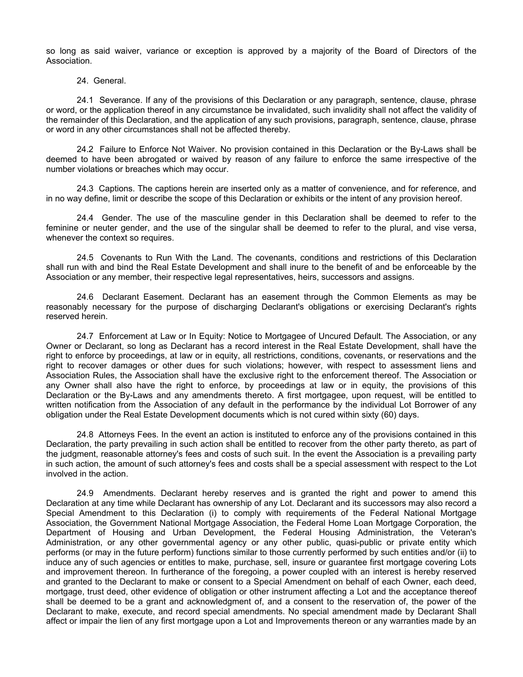so long as said waiver, variance or exception is approved by a majority of the Board of Directors of the Association.

# 24. General.

24.1 Severance. If any of the provisions of this Declaration or any paragraph, sentence, clause, phrase or word, or the application thereof in any circumstance be invalidated, such invalidity shall not affect the validity of the remainder of this Declaration, and the application of any such provisions, paragraph, sentence, clause, phrase or word in any other circumstances shall not be affected thereby.

24.2 Failure to Enforce Not Waiver. No provision contained in this Declaration or the By-Laws shall be deemed to have been abrogated or waived by reason of any failure to enforce the same irrespective of the number violations or breaches which may occur.

24.3 Captions. The captions herein are inserted only as a matter of convenience, and for reference, and in no way define, limit or describe the scope of this Declaration or exhibits or the intent of any provision hereof.

24.4 Gender. The use of the masculine gender in this Declaration shall be deemed to refer to the feminine or neuter gender, and the use of the singular shall be deemed to refer to the plural, and vise versa, whenever the context so requires.

24.5 Covenants to Run With the Land. The covenants, conditions and restrictions of this Declaration shall run with and bind the Real Estate Development and shall inure to the benefit of and be enforceable by the Association or any member, their respective legal representatives, heirs, successors and assigns.

24.6 Declarant Easement. Declarant has an easement through the Common Elements as may be reasonably necessary for the purpose of discharging Declarant's obligations or exercising Declarant's rights reserved herein.

24.7 Enforcement at Law or In Equity: Notice to Mortgagee of Uncured Default. The Association, or any Owner or Declarant, so long as Declarant has a record interest in the Real Estate Development, shall have the right to enforce by proceedings, at law or in equity, all restrictions, conditions, covenants, or reservations and the right to recover damages or other dues for such violations; however, with respect to assessment liens and Association Rules, the Association shall have the exclusive right to the enforcement thereof. The Association or any Owner shall also have the right to enforce, by proceedings at law or in equity, the provisions of this Declaration or the By-Laws and any amendments thereto. A first mortgagee, upon request, will be entitled to written notification from the Association of any default in the performance by the individual Lot Borrower of any obligation under the Real Estate Development documents which is not cured within sixty (60) days.

24.8 Attorneys Fees. In the event an action is instituted to enforce any of the provisions contained in this Declaration, the party prevailing in such action shall be entitled to recover from the other party thereto, as part of the judgment, reasonable attorney's fees and costs of such suit. In the event the Association is a prevailing party in such action, the amount of such attorney's fees and costs shall be a special assessment with respect to the Lot involved in the action.

24.9 Amendments. Declarant hereby reserves and is granted the right and power to amend this Declaration at any time while Declarant has ownership of any Lot. Declarant and its successors may also record a Special Amendment to this Declaration (i) to comply with requirements of the Federal National Mortgage Association, the Government National Mortgage Association, the Federal Home Loan Mortgage Corporation, the Department of Housing and Urban Development, the Federal Housing Administration, the Veteran's Administration, or any other governmental agency or any other public, quasi-public or private entity which performs (or may in the future perform) functions similar to those currently performed by such entities and/or (ii) to induce any of such agencies or entitles to make, purchase, sell, insure or guarantee first mortgage covering Lots and improvement thereon. In furtherance of the foregoing, a power coupled with an interest is hereby reserved and granted to the Declarant to make or consent to a Special Amendment on behalf of each Owner, each deed, mortgage, trust deed, other evidence of obligation or other instrument affecting a Lot and the acceptance thereof shall be deemed to be a grant and acknowledgment of, and a consent to the reservation of, the power of the Declarant to make, execute, and record special amendments. No special amendment made by Declarant Shall affect or impair the lien of any first mortgage upon a Lot and Improvements thereon or any warranties made by an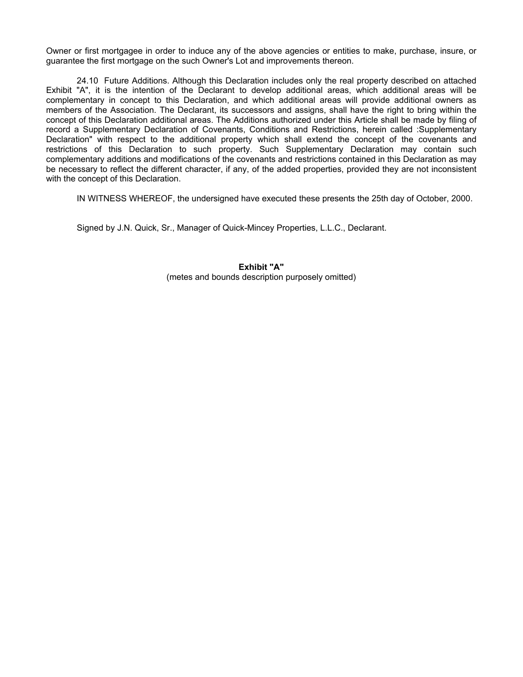Owner or first mortgagee in order to induce any of the above agencies or entities to make, purchase, insure, or guarantee the first mortgage on the such Owner's Lot and improvements thereon.

24.10 Future Additions. Although this Declaration includes only the real property described on attached Exhibit "A", it is the intention of the Declarant to develop additional areas, which additional areas will be complementary in concept to this Declaration, and which additional areas will provide additional owners as members of the Association. The Declarant, its successors and assigns, shall have the right to bring within the concept of this Declaration additional areas. The Additions authorized under this Article shall be made by filing of record a Supplementary Declaration of Covenants, Conditions and Restrictions, herein called :Supplementary Declaration" with respect to the additional property which shall extend the concept of the covenants and restrictions of this Declaration to such property. Such Supplementary Declaration may contain such complementary additions and modifications of the covenants and restrictions contained in this Declaration as may be necessary to reflect the different character, if any, of the added properties, provided they are not inconsistent with the concept of this Declaration.

IN WITNESS WHEREOF, the undersigned have executed these presents the 25th day of October, 2000.

Signed by J.N. Quick, Sr., Manager of Quick-Mincey Properties, L.L.C., Declarant.

**Exhibit "A"**  (metes and bounds description purposely omitted)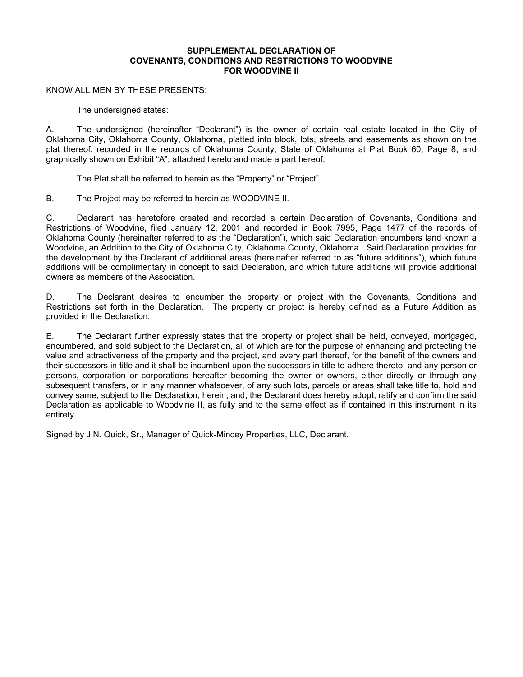### **SUPPLEMENTAL DECLARATION OF COVENANTS, CONDITIONS AND RESTRICTIONS TO WOODVINE FOR WOODVINE II**

## KNOW ALL MEN BY THESE PRESENTS:

The undersigned states:

A. The undersigned (hereinafter "Declarant") is the owner of certain real estate located in the City of Oklahoma City, Oklahoma County, Oklahoma, platted into block, lots, streets and easements as shown on the plat thereof, recorded in the records of Oklahoma County, State of Oklahoma at Plat Book 60, Page 8, and graphically shown on Exhibit "A", attached hereto and made a part hereof.

The Plat shall be referred to herein as the "Property" or "Project".

B. The Project may be referred to herein as WOODVINE II.

C. Declarant has heretofore created and recorded a certain Declaration of Covenants, Conditions and Restrictions of Woodvine, filed January 12, 2001 and recorded in Book 7995, Page 1477 of the records of Oklahoma County (hereinafter referred to as the "Declaration"), which said Declaration encumbers land known a Woodvine, an Addition to the City of Oklahoma City, Oklahoma County, Oklahoma. Said Declaration provides for the development by the Declarant of additional areas (hereinafter referred to as "future additions"), which future additions will be complimentary in concept to said Declaration, and which future additions will provide additional owners as members of the Association.

D. The Declarant desires to encumber the property or project with the Covenants, Conditions and Restrictions set forth in the Declaration. The property or project is hereby defined as a Future Addition as provided in the Declaration.

E. The Declarant further expressly states that the property or project shall be held, conveyed, mortgaged, encumbered, and sold subject to the Declaration, all of which are for the purpose of enhancing and protecting the value and attractiveness of the property and the project, and every part thereof, for the benefit of the owners and their successors in title and it shall be incumbent upon the successors in title to adhere thereto; and any person or persons, corporation or corporations hereafter becoming the owner or owners, either directly or through any subsequent transfers, or in any manner whatsoever, of any such lots, parcels or areas shall take title to, hold and convey same, subject to the Declaration, herein; and, the Declarant does hereby adopt, ratify and confirm the said Declaration as applicable to Woodvine II, as fully and to the same effect as if contained in this instrument in its entirety.

Signed by J.N. Quick, Sr., Manager of Quick-Mincey Properties, LLC, Declarant.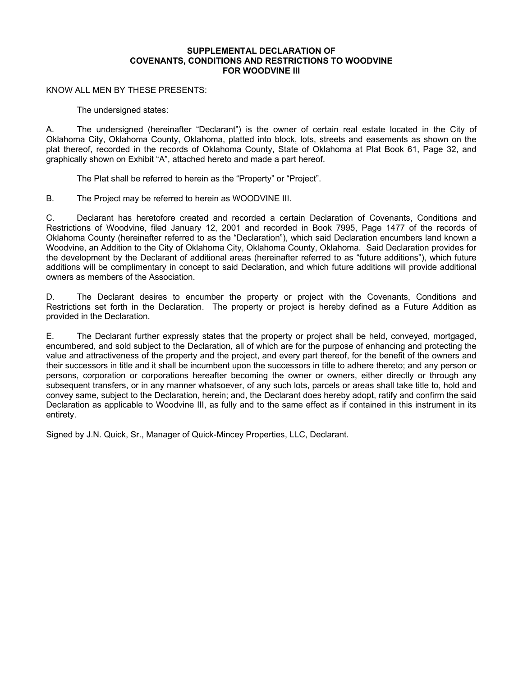### **SUPPLEMENTAL DECLARATION OF COVENANTS, CONDITIONS AND RESTRICTIONS TO WOODVINE FOR WOODVINE III**

## KNOW ALL MEN BY THESE PRESENTS:

The undersigned states:

A. The undersigned (hereinafter "Declarant") is the owner of certain real estate located in the City of Oklahoma City, Oklahoma County, Oklahoma, platted into block, lots, streets and easements as shown on the plat thereof, recorded in the records of Oklahoma County, State of Oklahoma at Plat Book 61, Page 32, and graphically shown on Exhibit "A", attached hereto and made a part hereof.

The Plat shall be referred to herein as the "Property" or "Project".

B. The Project may be referred to herein as WOODVINE III.

C. Declarant has heretofore created and recorded a certain Declaration of Covenants, Conditions and Restrictions of Woodvine, filed January 12, 2001 and recorded in Book 7995, Page 1477 of the records of Oklahoma County (hereinafter referred to as the "Declaration"), which said Declaration encumbers land known a Woodvine, an Addition to the City of Oklahoma City, Oklahoma County, Oklahoma. Said Declaration provides for the development by the Declarant of additional areas (hereinafter referred to as "future additions"), which future additions will be complimentary in concept to said Declaration, and which future additions will provide additional owners as members of the Association.

D. The Declarant desires to encumber the property or project with the Covenants, Conditions and Restrictions set forth in the Declaration. The property or project is hereby defined as a Future Addition as provided in the Declaration.

E. The Declarant further expressly states that the property or project shall be held, conveyed, mortgaged, encumbered, and sold subject to the Declaration, all of which are for the purpose of enhancing and protecting the value and attractiveness of the property and the project, and every part thereof, for the benefit of the owners and their successors in title and it shall be incumbent upon the successors in title to adhere thereto; and any person or persons, corporation or corporations hereafter becoming the owner or owners, either directly or through any subsequent transfers, or in any manner whatsoever, of any such lots, parcels or areas shall take title to, hold and convey same, subject to the Declaration, herein; and, the Declarant does hereby adopt, ratify and confirm the said Declaration as applicable to Woodvine III, as fully and to the same effect as if contained in this instrument in its entirety.

Signed by J.N. Quick, Sr., Manager of Quick-Mincey Properties, LLC, Declarant.